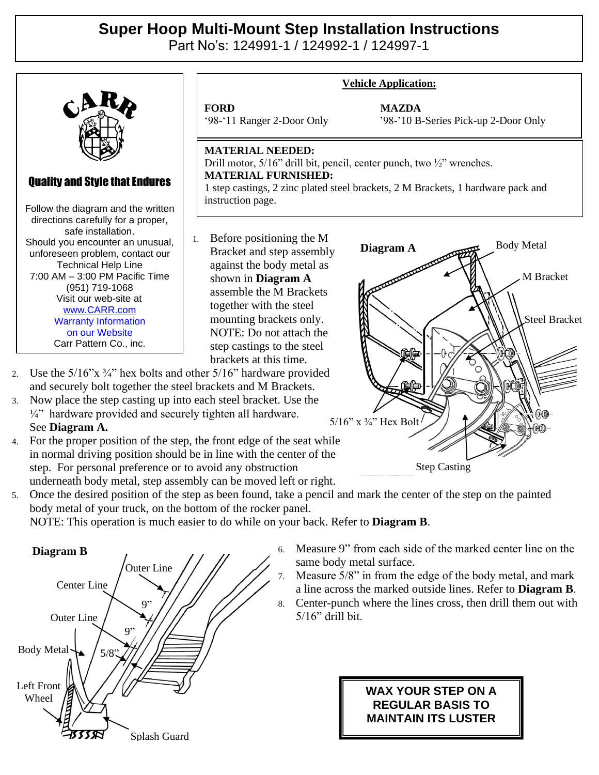## **Super Hoop Multi-Mount Step Installation Instructions**

Part No's: 124991-1 / 124992-1 / 124997-1



- and securely bolt together the steel brackets and M Brackets. 3. Now place the step casting up into each steel bracket. Use the
- $\frac{1}{4}$ " hardware provided and securely tighten all hardware. See **Diagram A.**
- 4. For the proper position of the step, the front edge of the seat while in normal driving position should be in line with the center of the step. For personal preference or to avoid any obstruction underneath body metal, step assembly can be moved left or right.

5. Once the desired position of the step as been found, take a pencil and mark the center of the step on the painted body metal of your truck, on the bottom of the rocker panel.

NOTE: This operation is much easier to do while on your back. Refer to **Diagram B**.



6. Measure 9" from each side of the marked center line on the same body metal surface.

Step Casting

5/16" x  $\frac{3}{4}$ " Hex Bolt

- 7. Measure 5/8" in from the edge of the body metal, and mark a line across the marked outside lines. Refer to **Diagram B**.
- 8. Center-punch where the lines cross, then drill them out with 5/16" drill bit.

## **WAX YOUR STEP ON A REGULAR BASIS TO MAINTAIN ITS LUSTER**